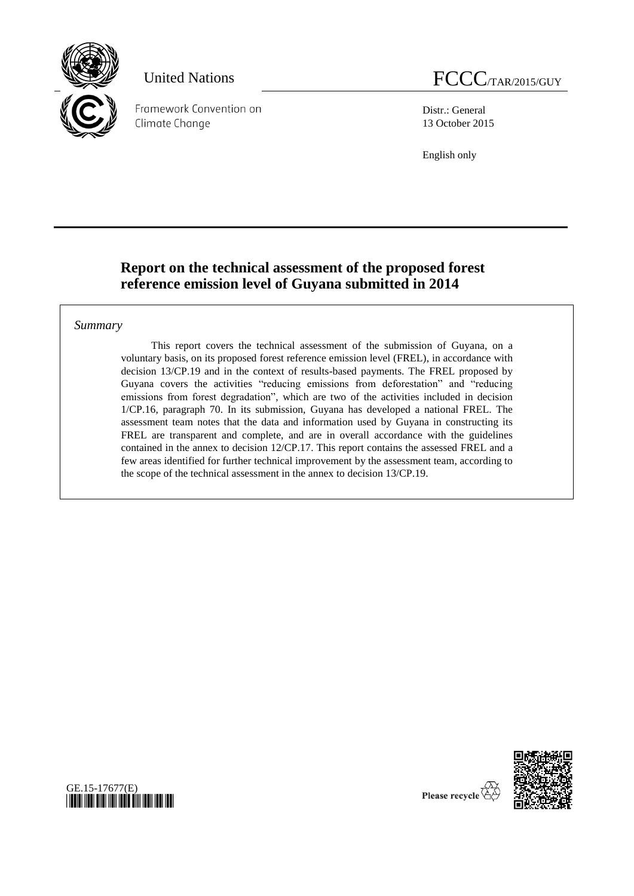

Framework Convention on Climate Change

Distr.: General 13 October 2015

English only

# **Report on the technical assessment of the proposed forest reference emission level of Guyana submitted in 2014**

### *Summary*

This report covers the technical assessment of the submission of Guyana, on a voluntary basis, on its proposed forest reference emission level (FREL), in accordance with decision 13/CP.19 and in the context of results-based payments. The FREL proposed by Guyana covers the activities "reducing emissions from deforestation" and "reducing emissions from forest degradation", which are two of the activities included in decision 1/CP.16, paragraph 70. In its submission, Guyana has developed a national FREL. The assessment team notes that the data and information used by Guyana in constructing its FREL are transparent and complete, and are in overall accordance with the guidelines contained in the annex to decision 12/CP.17. This report contains the assessed FREL and a few areas identified for further technical improvement by the assessment team, according to the scope of the technical assessment in the annex to decision 13/CP.19.





Please recycle  $\overline{\overline{\mathbf{C}}}$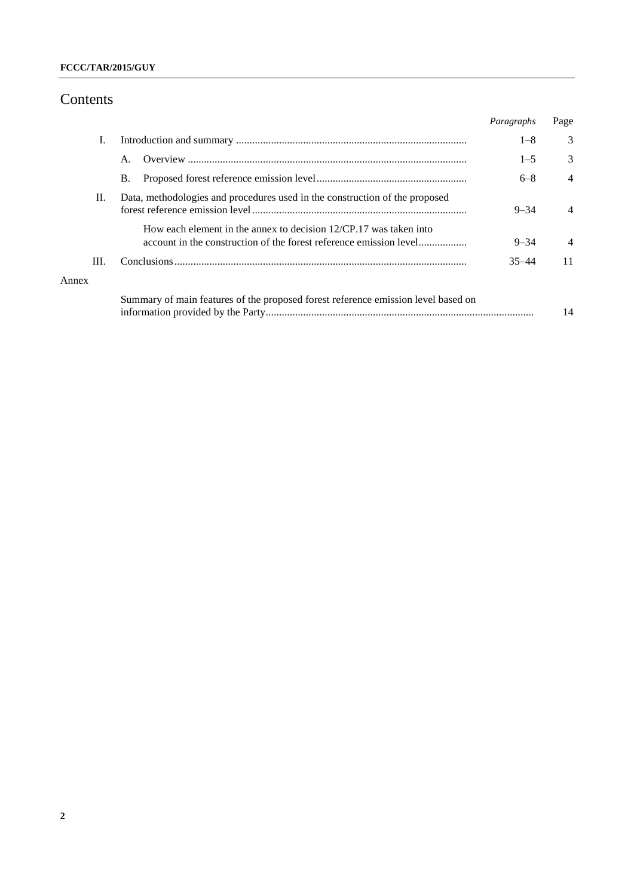### **FCCC/TAR/2015/GUY**

## Contents

|       |                                                                                                                                           | Paragraphs | Page           |
|-------|-------------------------------------------------------------------------------------------------------------------------------------------|------------|----------------|
| I.    |                                                                                                                                           | $1 - 8$    | 3              |
|       | $\mathsf{A}$ .                                                                                                                            | $1 - 5$    | 3              |
|       | <b>B.</b>                                                                                                                                 | $6 - 8$    | $\overline{4}$ |
| П.    | Data, methodologies and procedures used in the construction of the proposed                                                               | $9 - 34$   | $\overline{4}$ |
|       | How each element in the annex to decision $12/CP.17$ was taken into<br>account in the construction of the forest reference emission level | $9 - 34$   | $\overline{4}$ |
| III.  |                                                                                                                                           | $35 - 44$  | 11             |
| Annex |                                                                                                                                           |            |                |
|       | Summary of main features of the proposed forest reference emission level based on                                                         |            | 14             |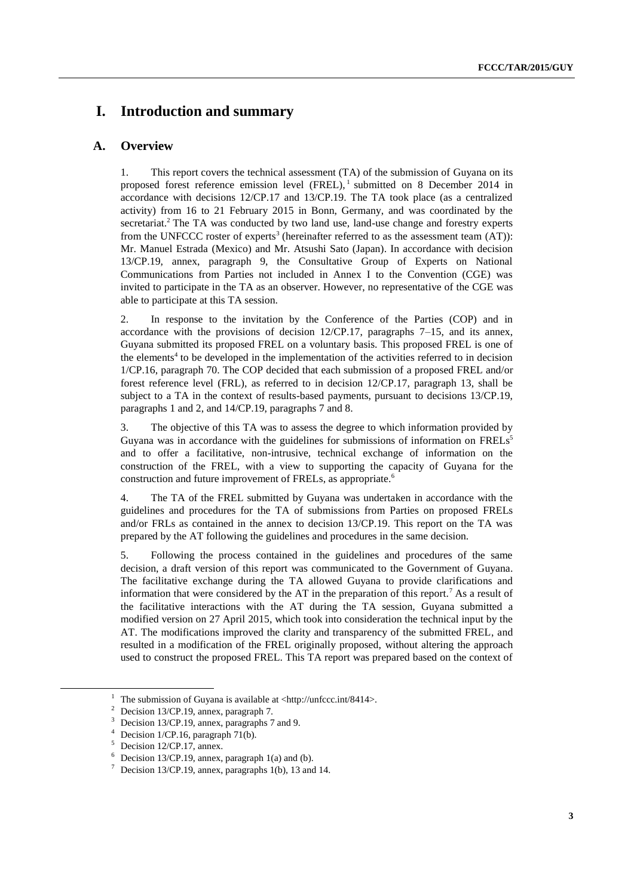## **I. Introduction and summary**

### **A. Overview**

1. This report covers the technical assessment (TA) of the submission of Guyana on its proposed forest reference emission level  $(FREL)$ , submitted on 8 December 2014 in accordance with decisions 12/CP.17 and 13/CP.19. The TA took place (as a centralized activity) from 16 to 21 February 2015 in Bonn, Germany, and was coordinated by the secretariat.<sup>2</sup> The TA was conducted by two land use, land-use change and forestry experts from the UNFCCC roster of experts<sup>3</sup> (hereinafter referred to as the assessment team  $(AT)$ ): Mr. Manuel Estrada (Mexico) and Mr. Atsushi Sato (Japan). In accordance with decision 13/CP.19, annex, paragraph 9, the Consultative Group of Experts on National Communications from Parties not included in Annex I to the Convention (CGE) was invited to participate in the TA as an observer. However, no representative of the CGE was able to participate at this TA session.

2. In response to the invitation by the Conference of the Parties (COP) and in accordance with the provisions of decision 12/CP.17, paragraphs 7–15, and its annex, Guyana submitted its proposed FREL on a voluntary basis. This proposed FREL is one of the elements<sup>4</sup> to be developed in the implementation of the activities referred to in decision 1/CP.16, paragraph 70. The COP decided that each submission of a proposed FREL and/or forest reference level (FRL), as referred to in decision 12/CP.17, paragraph 13, shall be subject to a TA in the context of results-based payments, pursuant to decisions 13/CP.19, paragraphs 1 and 2, and 14/CP.19, paragraphs 7 and 8.

3. The objective of this TA was to assess the degree to which information provided by Guyana was in accordance with the guidelines for submissions of information on FRELs<sup>5</sup> and to offer a facilitative, non-intrusive, technical exchange of information on the construction of the FREL, with a view to supporting the capacity of Guyana for the construction and future improvement of FRELs, as appropriate.<sup>6</sup>

4. The TA of the FREL submitted by Guyana was undertaken in accordance with the guidelines and procedures for the TA of submissions from Parties on proposed FRELs and/or FRLs as contained in the annex to decision 13/CP.19. This report on the TA was prepared by the AT following the guidelines and procedures in the same decision.

5. Following the process contained in the guidelines and procedures of the same decision, a draft version of this report was communicated to the Government of Guyana. The facilitative exchange during the TA allowed Guyana to provide clarifications and information that were considered by the AT in the preparation of this report.<sup>7</sup> As a result of the facilitative interactions with the AT during the TA session, Guyana submitted a modified version on 27 April 2015, which took into consideration the technical input by the AT. The modifications improved the clarity and transparency of the submitted FREL, and resulted in a modification of the FREL originally proposed, without altering the approach used to construct the proposed FREL. This TA report was prepared based on the context of

The submission of Guyana is available at <http://unfccc.int/8414>.

Decision 13/CP.19, annex, paragraph 7.

Decision 13/CP.19, annex, paragraphs 7 and 9.

Decision 1/CP.16, paragraph 71(b).

Decision 12/CP.17, annex.

 $6$  Decision 13/CP.19, annex, paragraph 1(a) and (b).

 $\frac{7}{1}$  Decision 13/CP.19, annex, paragraphs 1(b), 13 and 14.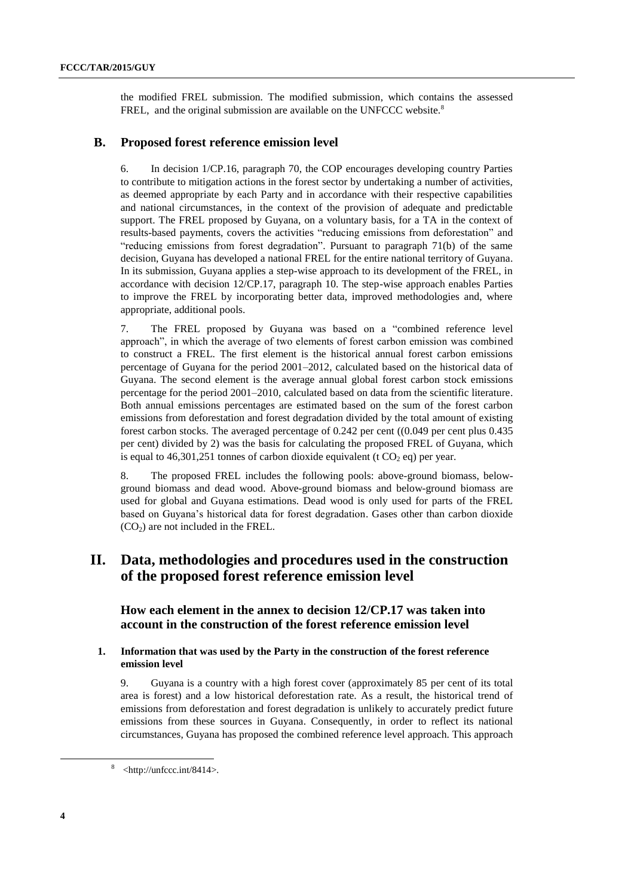the modified FREL submission. The modified submission, which contains the assessed FREL, and the original submission are available on the UNFCCC website.<sup>8</sup>

#### **B. Proposed forest reference emission level**

6. In decision 1/CP.16, paragraph 70, the COP encourages developing country Parties to contribute to mitigation actions in the forest sector by undertaking a number of activities, as deemed appropriate by each Party and in accordance with their respective capabilities and national circumstances, in the context of the provision of adequate and predictable support. The FREL proposed by Guyana, on a voluntary basis, for a TA in the context of results-based payments, covers the activities "reducing emissions from deforestation" and "reducing emissions from forest degradation". Pursuant to paragraph 71(b) of the same decision, Guyana has developed a national FREL for the entire national territory of Guyana. In its submission, Guyana applies a step-wise approach to its development of the FREL, in accordance with decision 12/CP.17, paragraph 10. The step-wise approach enables Parties to improve the FREL by incorporating better data, improved methodologies and, where appropriate, additional pools.

7. The FREL proposed by Guyana was based on a "combined reference level approach", in which the average of two elements of forest carbon emission was combined to construct a FREL. The first element is the historical annual forest carbon emissions percentage of Guyana for the period 2001–2012, calculated based on the historical data of Guyana. The second element is the average annual global forest carbon stock emissions percentage for the period 2001–2010, calculated based on data from the scientific literature. Both annual emissions percentages are estimated based on the sum of the forest carbon emissions from deforestation and forest degradation divided by the total amount of existing forest carbon stocks. The averaged percentage of 0.242 per cent ((0.049 per cent plus 0.435 per cent) divided by 2) was the basis for calculating the proposed FREL of Guyana, which is equal to 46,301,251 tonnes of carbon dioxide equivalent (t  $CO<sub>2</sub>$  eq) per year.

8. The proposed FREL includes the following pools: above-ground biomass, belowground biomass and dead wood. Above-ground biomass and below-ground biomass are used for global and Guyana estimations. Dead wood is only used for parts of the FREL based on Guyana's historical data for forest degradation. Gases other than carbon dioxide  $(CO<sub>2</sub>)$  are not included in the FREL.

## **II. Data, methodologies and procedures used in the construction of the proposed forest reference emission level**

**How each element in the annex to decision 12/CP.17 was taken into account in the construction of the forest reference emission level**

#### **1. Information that was used by the Party in the construction of the forest reference emission level**

9. Guyana is a country with a high forest cover (approximately 85 per cent of its total area is forest) and a low historical deforestation rate. As a result, the historical trend of emissions from deforestation and forest degradation is unlikely to accurately predict future emissions from these sources in Guyana. Consequently, in order to reflect its national circumstances, Guyana has proposed the combined reference level approach. This approach

 $8$  <http://unfccc.int/8414>.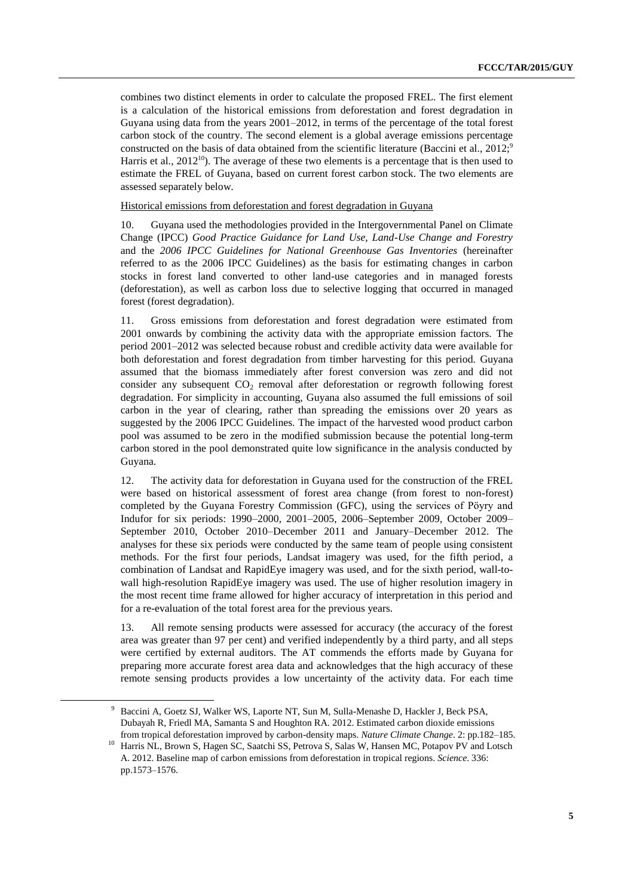combines two distinct elements in order to calculate the proposed FREL. The first element is a calculation of the historical emissions from deforestation and forest degradation in Guyana using data from the years 2001–2012, in terms of the percentage of the total forest carbon stock of the country. The second element is a global average emissions percentage constructed on the basis of data obtained from the scientific literature (Baccini et al.,  $2012$ <sup>5</sup>, Harris et al.,  $2012^{10}$ ). The average of these two elements is a percentage that is then used to estimate the FREL of Guyana, based on current forest carbon stock. The two elements are assessed separately below.

Historical emissions from deforestation and forest degradation in Guyana

10. Guyana used the methodologies provided in the Intergovernmental Panel on Climate Change (IPCC) *Good Practice Guidance for Land Use, Land-Use Change and Forestry* and the *2006 IPCC Guidelines for National Greenhouse Gas Inventories* (hereinafter referred to as the 2006 IPCC Guidelines) as the basis for estimating changes in carbon stocks in forest land converted to other land-use categories and in managed forests (deforestation), as well as carbon loss due to selective logging that occurred in managed forest (forest degradation).

11. Gross emissions from deforestation and forest degradation were estimated from 2001 onwards by combining the activity data with the appropriate emission factors. The period 2001–2012 was selected because robust and credible activity data were available for both deforestation and forest degradation from timber harvesting for this period. Guyana assumed that the biomass immediately after forest conversion was zero and did not consider any subsequent  $CO<sub>2</sub>$  removal after deforestation or regrowth following forest degradation. For simplicity in accounting, Guyana also assumed the full emissions of soil carbon in the year of clearing, rather than spreading the emissions over 20 years as suggested by the 2006 IPCC Guidelines. The impact of the harvested wood product carbon pool was assumed to be zero in the modified submission because the potential long-term carbon stored in the pool demonstrated quite low significance in the analysis conducted by Guyana.

12. The activity data for deforestation in Guyana used for the construction of the FREL were based on historical assessment of forest area change (from forest to non-forest) completed by the Guyana Forestry Commission (GFC), using the services of Pöyry and Indufor for six periods: 1990–2000, 2001–2005, 2006–September 2009, October 2009– September 2010, October 2010–December 2011 and January–December 2012. The analyses for these six periods were conducted by the same team of people using consistent methods. For the first four periods, Landsat imagery was used, for the fifth period, a combination of Landsat and RapidEye imagery was used, and for the sixth period, wall-towall high-resolution RapidEye imagery was used. The use of higher resolution imagery in the most recent time frame allowed for higher accuracy of interpretation in this period and for a re-evaluation of the total forest area for the previous years.

13. All remote sensing products were assessed for accuracy (the accuracy of the forest area was greater than 97 per cent) and verified independently by a third party, and all steps were certified by external auditors. The AT commends the efforts made by Guyana for preparing more accurate forest area data and acknowledges that the high accuracy of these remote sensing products provides a low uncertainty of the activity data. For each time

<sup>9</sup> Baccini A, Goetz SJ, Walker WS, Laporte NT, Sun M, Sulla-Menashe D, Hackler J, Beck PSA, Dubayah R, Friedl MA, Samanta S and Houghton RA. 2012. Estimated carbon dioxide emissions from tropical deforestation improved by carbon-density maps. *Nature Climate Change*. 2: pp.182–185.

<sup>&</sup>lt;sup>10</sup> Harris NL, Brown S, Hagen SC, Saatchi SS, Petrova S, Salas W, Hansen MC, Potapov PV and Lotsch A. 2012. Baseline map of carbon emissions from deforestation in tropical regions. *Science*. 336: pp.1573–1576.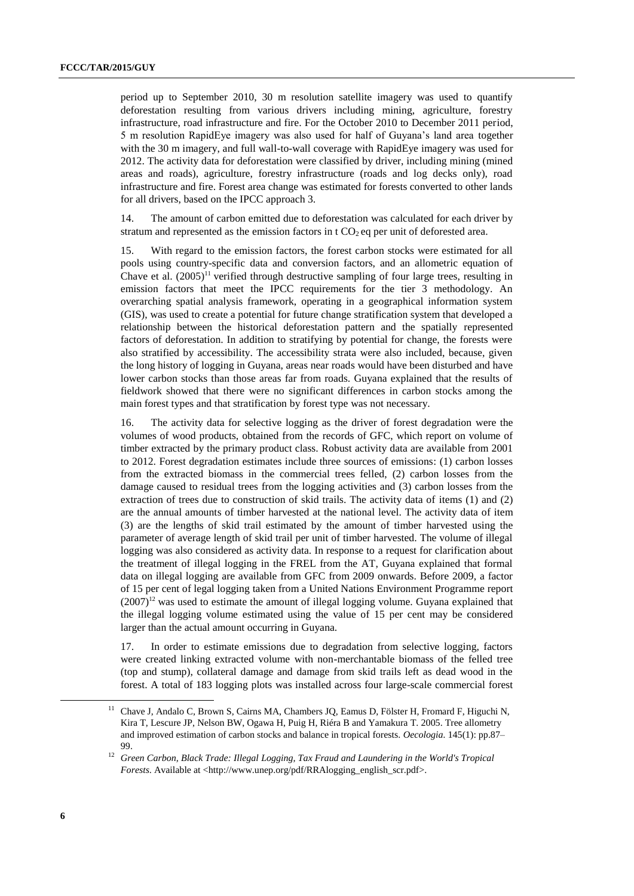period up to September 2010, 30 m resolution satellite imagery was used to quantify deforestation resulting from various drivers including mining, agriculture, forestry infrastructure, road infrastructure and fire. For the October 2010 to December 2011 period, 5 m resolution RapidEye imagery was also used for half of Guyana's land area together with the 30 m imagery, and full wall-to-wall coverage with RapidEye imagery was used for 2012. The activity data for deforestation were classified by driver, including mining (mined areas and roads), agriculture, forestry infrastructure (roads and log decks only), road infrastructure and fire. Forest area change was estimated for forests converted to other lands for all drivers, based on the IPCC approach 3.

14. The amount of carbon emitted due to deforestation was calculated for each driver by stratum and represented as the emission factors in t  $CO<sub>2</sub>$  eq per unit of deforested area.

15. With regard to the emission factors, the forest carbon stocks were estimated for all pools using country-specific data and conversion factors, and an allometric equation of Chave et al.  $(2005)^{11}$  verified through destructive sampling of four large trees, resulting in emission factors that meet the IPCC requirements for the tier 3 methodology. An overarching spatial analysis framework, operating in a geographical information system (GIS), was used to create a potential for future change stratification system that developed a relationship between the historical deforestation pattern and the spatially represented factors of deforestation. In addition to stratifying by potential for change, the forests were also stratified by accessibility. The accessibility strata were also included, because, given the long history of logging in Guyana, areas near roads would have been disturbed and have lower carbon stocks than those areas far from roads. Guyana explained that the results of fieldwork showed that there were no significant differences in carbon stocks among the main forest types and that stratification by forest type was not necessary.

16. The activity data for selective logging as the driver of forest degradation were the volumes of wood products, obtained from the records of GFC, which report on volume of timber extracted by the primary product class. Robust activity data are available from 2001 to 2012. Forest degradation estimates include three sources of emissions: (1) carbon losses from the extracted biomass in the commercial trees felled, (2) carbon losses from the damage caused to residual trees from the logging activities and (3) carbon losses from the extraction of trees due to construction of skid trails. The activity data of items (1) and (2) are the annual amounts of timber harvested at the national level. The activity data of item (3) are the lengths of skid trail estimated by the amount of timber harvested using the parameter of average length of skid trail per unit of timber harvested. The volume of illegal logging was also considered as activity data. In response to a request for clarification about the treatment of illegal logging in the FREL from the AT, Guyana explained that formal data on illegal logging are available from GFC from 2009 onwards. Before 2009, a factor of 15 per cent of legal logging taken from a United Nations Environment Programme report  $(2007)^{12}$  was used to estimate the amount of illegal logging volume. Guyana explained that the illegal logging volume estimated using the value of 15 per cent may be considered larger than the actual amount occurring in Guyana.

17. In order to estimate emissions due to degradation from selective logging, factors were created linking extracted volume with non-merchantable biomass of the felled tree (top and stump), collateral damage and damage from skid trails left as dead wood in the forest. A total of 183 logging plots was installed across four large-scale commercial forest

<sup>11</sup> Chave J, Andalo C, Brown S, Cairns MA, Chambers JQ, Eamus D, Fölster H, Fromard F, Higuchi N, Kira T, Lescure JP, Nelson BW, Ogawa H, Puig H, Riéra B and Yamakura T. 2005. Tree allometry and improved estimation of carbon stocks and balance in tropical forests. *Oecologia.* 145(1): pp.87– 99.

<sup>12</sup> *Green Carbon, Black Trade: Illegal Logging, Tax Fraud and Laundering in the World's Tropical Forests*. Available at <http://www.unep.org/pdf/RRAlogging\_english\_scr.pdf>.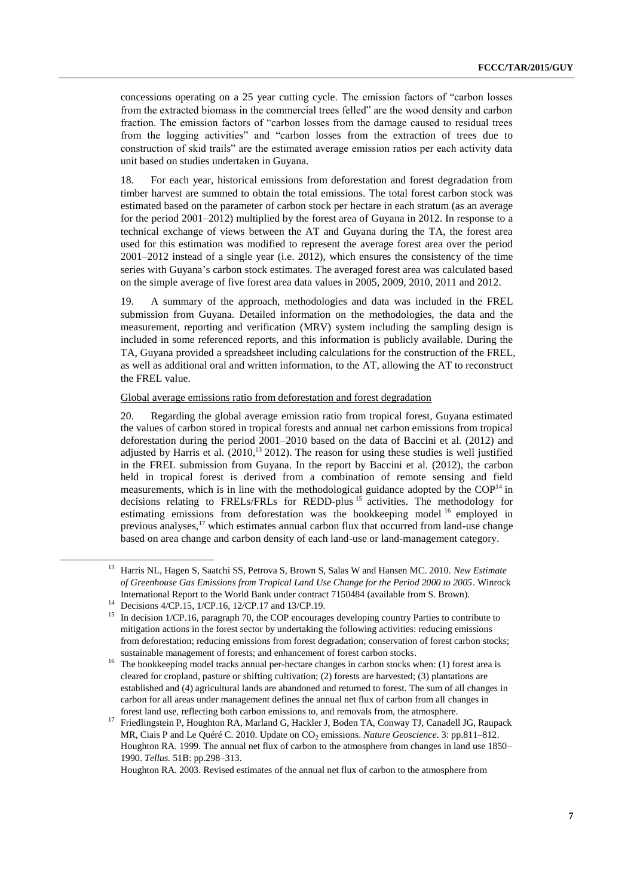concessions operating on a 25 year cutting cycle. The emission factors of "carbon losses from the extracted biomass in the commercial trees felled" are the wood density and carbon fraction. The emission factors of "carbon losses from the damage caused to residual trees from the logging activities" and "carbon losses from the extraction of trees due to construction of skid trails" are the estimated average emission ratios per each activity data unit based on studies undertaken in Guyana.

18. For each year, historical emissions from deforestation and forest degradation from timber harvest are summed to obtain the total emissions. The total forest carbon stock was estimated based on the parameter of carbon stock per hectare in each stratum (as an average for the period 2001–2012) multiplied by the forest area of Guyana in 2012. In response to a technical exchange of views between the AT and Guyana during the TA, the forest area used for this estimation was modified to represent the average forest area over the period 2001–2012 instead of a single year (i.e. 2012), which ensures the consistency of the time series with Guyana's carbon stock estimates. The averaged forest area was calculated based on the simple average of five forest area data values in 2005, 2009, 2010, 2011 and 2012.

19. A summary of the approach, methodologies and data was included in the FREL submission from Guyana. Detailed information on the methodologies, the data and the measurement, reporting and verification (MRV) system including the sampling design is included in some referenced reports, and this information is publicly available. During the TA, Guyana provided a spreadsheet including calculations for the construction of the FREL, as well as additional oral and written information, to the AT, allowing the AT to reconstruct the FREL value.

#### Global average emissions ratio from deforestation and forest degradation

20. Regarding the global average emission ratio from tropical forest, Guyana estimated the values of carbon stored in tropical forests and annual net carbon emissions from tropical deforestation during the period 2001–2010 based on the data of Baccini et al. (2012) and adjusted by Harris et al.  $(2010)^{13}$  2012). The reason for using these studies is well justified in the FREL submission from Guyana. In the report by Baccini et al. (2012), the carbon held in tropical forest is derived from a combination of remote sensing and field measurements, which is in line with the methodological guidance adopted by the  $COP<sup>14</sup>$  in decisions relating to FRELs/FRLs for REDD-plus <sup>15</sup> activities. The methodology for estimating emissions from deforestation was the bookkeeping model <sup>16</sup> employed in previous analyses,<sup>17</sup> which estimates annual carbon flux that occurred from land-use change based on area change and carbon density of each land-use or land-management category.

-

Houghton RA. 2003. Revised estimates of the annual net flux of carbon to the atmosphere from

<sup>13</sup> Harris NL, Hagen S, Saatchi SS, Petrova S, Brown S, Salas W and Hansen MC. 2010. *New Estimate of Greenhouse Gas Emissions from Tropical Land Use Change for the Period 2000 to 2005*. Winrock International Report to the World Bank under contract 7150484 (available from S. Brown).

<sup>14</sup> Decisions 4/CP.15, 1/CP.16, 12/CP.17 and 13/CP.19.

<sup>&</sup>lt;sup>15</sup> In decision 1/CP.16, paragraph 70, the COP encourages developing country Parties to contribute to mitigation actions in the forest sector by undertaking the following activities: reducing emissions from deforestation; reducing emissions from forest degradation; conservation of forest carbon stocks; sustainable management of forests; and enhancement of forest carbon stocks.

<sup>&</sup>lt;sup>16</sup> The bookkeeping model tracks annual per-hectare changes in carbon stocks when: (1) forest area is cleared for cropland, pasture or shifting cultivation; (2) forests are harvested; (3) plantations are established and (4) agricultural lands are abandoned and returned to forest. The sum of all changes in carbon for all areas under management defines the annual net flux of carbon from all changes in forest land use, reflecting both carbon emissions to, and removals from, the atmosphere.

<sup>&</sup>lt;sup>17</sup> Friedlingstein P, Houghton RA, Marland G, Hackler J, Boden TA, Conway TJ, Canadell JG, Raupack MR, Ciais P and Le Quéré C. 2010. Update on CO<sub>2</sub> emissions. *Nature Geoscience*. 3: pp.811–812. Houghton RA. 1999. The annual net flux of carbon to the atmosphere from changes in land use 1850– 1990. *Tellus.* 51B: pp.298–313.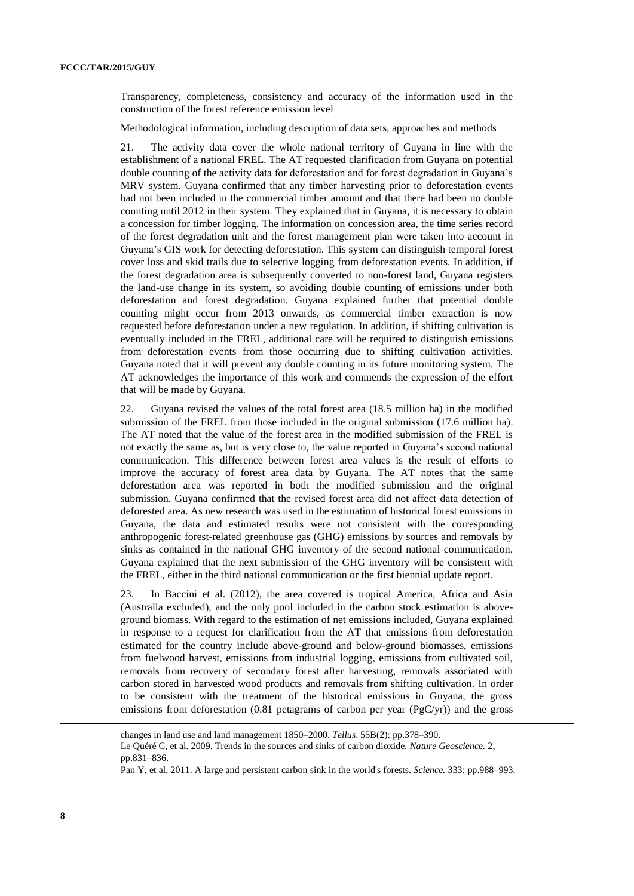Transparency, completeness, consistency and accuracy of the information used in the construction of the forest reference emission level

#### Methodological information, including description of data sets, approaches and methods

21. The activity data cover the whole national territory of Guyana in line with the establishment of a national FREL. The AT requested clarification from Guyana on potential double counting of the activity data for deforestation and for forest degradation in Guyana's MRV system. Guyana confirmed that any timber harvesting prior to deforestation events had not been included in the commercial timber amount and that there had been no double counting until 2012 in their system. They explained that in Guyana, it is necessary to obtain a concession for timber logging. The information on concession area, the time series record of the forest degradation unit and the forest management plan were taken into account in Guyana's GIS work for detecting deforestation. This system can distinguish temporal forest cover loss and skid trails due to selective logging from deforestation events. In addition, if the forest degradation area is subsequently converted to non-forest land, Guyana registers the land-use change in its system, so avoiding double counting of emissions under both deforestation and forest degradation. Guyana explained further that potential double counting might occur from 2013 onwards, as commercial timber extraction is now requested before deforestation under a new regulation. In addition, if shifting cultivation is eventually included in the FREL, additional care will be required to distinguish emissions from deforestation events from those occurring due to shifting cultivation activities. Guyana noted that it will prevent any double counting in its future monitoring system. The AT acknowledges the importance of this work and commends the expression of the effort that will be made by Guyana.

22. Guyana revised the values of the total forest area (18.5 million ha) in the modified submission of the FREL from those included in the original submission (17.6 million ha). The AT noted that the value of the forest area in the modified submission of the FREL is not exactly the same as, but is very close to, the value reported in Guyana's second national communication. This difference between forest area values is the result of efforts to improve the accuracy of forest area data by Guyana. The AT notes that the same deforestation area was reported in both the modified submission and the original submission. Guyana confirmed that the revised forest area did not affect data detection of deforested area. As new research was used in the estimation of historical forest emissions in Guyana, the data and estimated results were not consistent with the corresponding anthropogenic forest-related greenhouse gas (GHG) emissions by sources and removals by sinks as contained in the national GHG inventory of the second national communication. Guyana explained that the next submission of the GHG inventory will be consistent with the FREL, either in the third national communication or the first biennial update report.

23. In Baccini et al. (2012), the area covered is tropical America, Africa and Asia (Australia excluded), and the only pool included in the carbon stock estimation is aboveground biomass. With regard to the estimation of net emissions included, Guyana explained in response to a request for clarification from the AT that emissions from deforestation estimated for the country include above-ground and below-ground biomasses, emissions from fuelwood harvest, emissions from industrial logging, emissions from cultivated soil, removals from recovery of secondary forest after harvesting, removals associated with carbon stored in harvested wood products and removals from shifting cultivation. In order to be consistent with the treatment of the historical emissions in Guyana, the gross emissions from deforestation (0.81 petagrams of carbon per year ( $PgC/yr$ )) and the gross

changes in land use and land management 1850–2000. *Tellus*. 55B(2): pp.378–390. Le Quéré C, et al. 2009. Trends in the sources and sinks of carbon dioxide. *Nature Geoscience.* 2, pp.831–836.

Pan Y, et al. 2011. A large and persistent carbon sink in the world's forests. *Science.* 333: pp.988–993.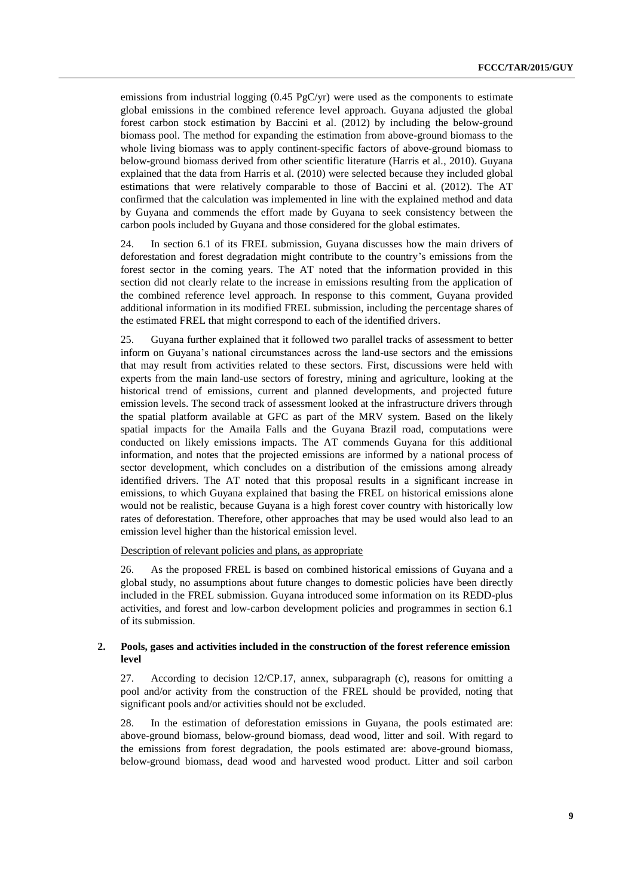emissions from industrial logging  $(0.45 \text{ PgC/yr})$  were used as the components to estimate global emissions in the combined reference level approach. Guyana adjusted the global forest carbon stock estimation by Baccini et al. (2012) by including the below-ground biomass pool. The method for expanding the estimation from above-ground biomass to the whole living biomass was to apply continent-specific factors of above-ground biomass to below-ground biomass derived from other scientific literature (Harris et al., 2010). Guyana explained that the data from Harris et al. (2010) were selected because they included global estimations that were relatively comparable to those of Baccini et al. (2012). The AT confirmed that the calculation was implemented in line with the explained method and data by Guyana and commends the effort made by Guyana to seek consistency between the carbon pools included by Guyana and those considered for the global estimates.

24. In section 6.1 of its FREL submission, Guyana discusses how the main drivers of deforestation and forest degradation might contribute to the country's emissions from the forest sector in the coming years. The AT noted that the information provided in this section did not clearly relate to the increase in emissions resulting from the application of the combined reference level approach. In response to this comment, Guyana provided additional information in its modified FREL submission, including the percentage shares of the estimated FREL that might correspond to each of the identified drivers.

25. Guyana further explained that it followed two parallel tracks of assessment to better inform on Guyana's national circumstances across the land-use sectors and the emissions that may result from activities related to these sectors. First, discussions were held with experts from the main land-use sectors of forestry, mining and agriculture, looking at the historical trend of emissions, current and planned developments, and projected future emission levels. The second track of assessment looked at the infrastructure drivers through the spatial platform available at GFC as part of the MRV system. Based on the likely spatial impacts for the Amaila Falls and the Guyana Brazil road, computations were conducted on likely emissions impacts. The AT commends Guyana for this additional information, and notes that the projected emissions are informed by a national process of sector development, which concludes on a distribution of the emissions among already identified drivers. The AT noted that this proposal results in a significant increase in emissions, to which Guyana explained that basing the FREL on historical emissions alone would not be realistic, because Guyana is a high forest cover country with historically low rates of deforestation. Therefore, other approaches that may be used would also lead to an emission level higher than the historical emission level.

Description of relevant policies and plans, as appropriate

26. As the proposed FREL is based on combined historical emissions of Guyana and a global study, no assumptions about future changes to domestic policies have been directly included in the FREL submission. Guyana introduced some information on its REDD-plus activities, and forest and low-carbon development policies and programmes in section 6.1 of its submission.

#### **2. Pools, gases and activities included in the construction of the forest reference emission level**

27. According to decision 12/CP.17, annex, subparagraph (c), reasons for omitting a pool and/or activity from the construction of the FREL should be provided, noting that significant pools and/or activities should not be excluded.

28. In the estimation of deforestation emissions in Guyana, the pools estimated are: above-ground biomass, below-ground biomass, dead wood, litter and soil. With regard to the emissions from forest degradation, the pools estimated are: above-ground biomass, below-ground biomass, dead wood and harvested wood product. Litter and soil carbon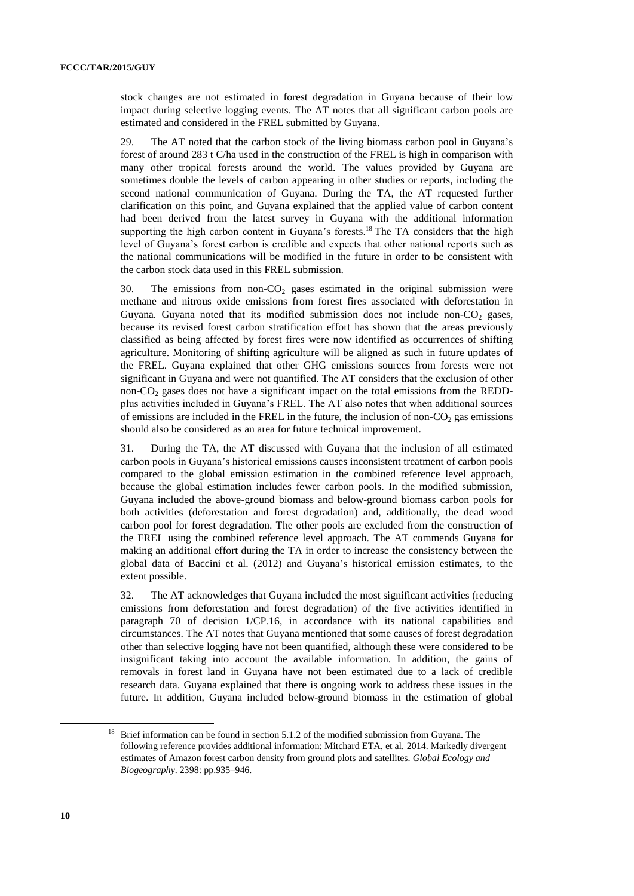stock changes are not estimated in forest degradation in Guyana because of their low impact during selective logging events. The AT notes that all significant carbon pools are estimated and considered in the FREL submitted by Guyana.

29. The AT noted that the carbon stock of the living biomass carbon pool in Guyana's forest of around 283 t C/ha used in the construction of the FREL is high in comparison with many other tropical forests around the world. The values provided by Guyana are sometimes double the levels of carbon appearing in other studies or reports, including the second national communication of Guyana. During the TA, the AT requested further clarification on this point, and Guyana explained that the applied value of carbon content had been derived from the latest survey in Guyana with the additional information supporting the high carbon content in Guyana's forests.<sup>18</sup> The TA considers that the high level of Guyana's forest carbon is credible and expects that other national reports such as the national communications will be modified in the future in order to be consistent with the carbon stock data used in this FREL submission.

30. The emissions from non- $CO<sub>2</sub>$  gases estimated in the original submission were methane and nitrous oxide emissions from forest fires associated with deforestation in Guyana. Guyana noted that its modified submission does not include non- $CO<sub>2</sub>$  gases, because its revised forest carbon stratification effort has shown that the areas previously classified as being affected by forest fires were now identified as occurrences of shifting agriculture. Monitoring of shifting agriculture will be aligned as such in future updates of the FREL. Guyana explained that other GHG emissions sources from forests were not significant in Guyana and were not quantified. The AT considers that the exclusion of other non- $CO<sub>2</sub>$  gases does not have a significant impact on the total emissions from the REDDplus activities included in Guyana's FREL. The AT also notes that when additional sources of emissions are included in the FREL in the future, the inclusion of non- $CO<sub>2</sub>$  gas emissions should also be considered as an area for future technical improvement.

31. During the TA, the AT discussed with Guyana that the inclusion of all estimated carbon pools in Guyana's historical emissions causes inconsistent treatment of carbon pools compared to the global emission estimation in the combined reference level approach, because the global estimation includes fewer carbon pools. In the modified submission, Guyana included the above-ground biomass and below-ground biomass carbon pools for both activities (deforestation and forest degradation) and, additionally, the dead wood carbon pool for forest degradation. The other pools are excluded from the construction of the FREL using the combined reference level approach. The AT commends Guyana for making an additional effort during the TA in order to increase the consistency between the global data of Baccini et al. (2012) and Guyana's historical emission estimates, to the extent possible.

32. The AT acknowledges that Guyana included the most significant activities (reducing emissions from deforestation and forest degradation) of the five activities identified in paragraph 70 of decision 1/CP.16, in accordance with its national capabilities and circumstances. The AT notes that Guyana mentioned that some causes of forest degradation other than selective logging have not been quantified, although these were considered to be insignificant taking into account the available information. In addition, the gains of removals in forest land in Guyana have not been estimated due to a lack of credible research data. Guyana explained that there is ongoing work to address these issues in the future. In addition, Guyana included below-ground biomass in the estimation of global

<sup>&</sup>lt;sup>18</sup> Brief information can be found in section 5.1.2 of the modified submission from Guyana. The following reference provides additional information: Mitchard ETA, et al. 2014. Markedly divergent estimates of Amazon forest carbon density from ground plots and satellites. *Global Ecology and Biogeography*. 2398: pp.935–946.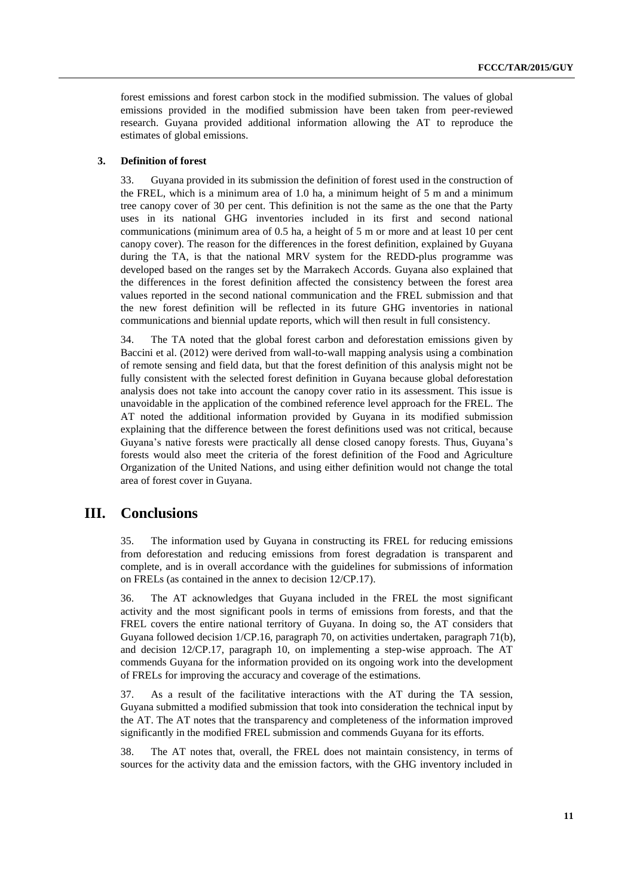forest emissions and forest carbon stock in the modified submission. The values of global emissions provided in the modified submission have been taken from peer-reviewed research. Guyana provided additional information allowing the AT to reproduce the estimates of global emissions.

#### **3. Definition of forest**

33. Guyana provided in its submission the definition of forest used in the construction of the FREL, which is a minimum area of 1.0 ha, a minimum height of 5 m and a minimum tree canopy cover of 30 per cent. This definition is not the same as the one that the Party uses in its national GHG inventories included in its first and second national communications (minimum area of 0.5 ha, a height of 5 m or more and at least 10 per cent canopy cover). The reason for the differences in the forest definition, explained by Guyana during the TA, is that the national MRV system for the REDD-plus programme was developed based on the ranges set by the Marrakech Accords. Guyana also explained that the differences in the forest definition affected the consistency between the forest area values reported in the second national communication and the FREL submission and that the new forest definition will be reflected in its future GHG inventories in national communications and biennial update reports, which will then result in full consistency.

34. The TA noted that the global forest carbon and deforestation emissions given by Baccini et al. (2012) were derived from wall-to-wall mapping analysis using a combination of remote sensing and field data, but that the forest definition of this analysis might not be fully consistent with the selected forest definition in Guyana because global deforestation analysis does not take into account the canopy cover ratio in its assessment. This issue is unavoidable in the application of the combined reference level approach for the FREL. The AT noted the additional information provided by Guyana in its modified submission explaining that the difference between the forest definitions used was not critical, because Guyana's native forests were practically all dense closed canopy forests. Thus, Guyana's forests would also meet the criteria of the forest definition of the Food and Agriculture Organization of the United Nations, and using either definition would not change the total area of forest cover in Guyana.

## **III. Conclusions**

35. The information used by Guyana in constructing its FREL for reducing emissions from deforestation and reducing emissions from forest degradation is transparent and complete, and is in overall accordance with the guidelines for submissions of information on FRELs (as contained in the annex to decision 12/CP.17).

36. The AT acknowledges that Guyana included in the FREL the most significant activity and the most significant pools in terms of emissions from forests, and that the FREL covers the entire national territory of Guyana. In doing so, the AT considers that Guyana followed decision 1/CP.16, paragraph 70, on activities undertaken, paragraph 71(b), and decision 12/CP.17, paragraph 10, on implementing a step-wise approach. The AT commends Guyana for the information provided on its ongoing work into the development of FRELs for improving the accuracy and coverage of the estimations.

37. As a result of the facilitative interactions with the AT during the TA session, Guyana submitted a modified submission that took into consideration the technical input by the AT. The AT notes that the transparency and completeness of the information improved significantly in the modified FREL submission and commends Guyana for its efforts.

38. The AT notes that, overall, the FREL does not maintain consistency, in terms of sources for the activity data and the emission factors, with the GHG inventory included in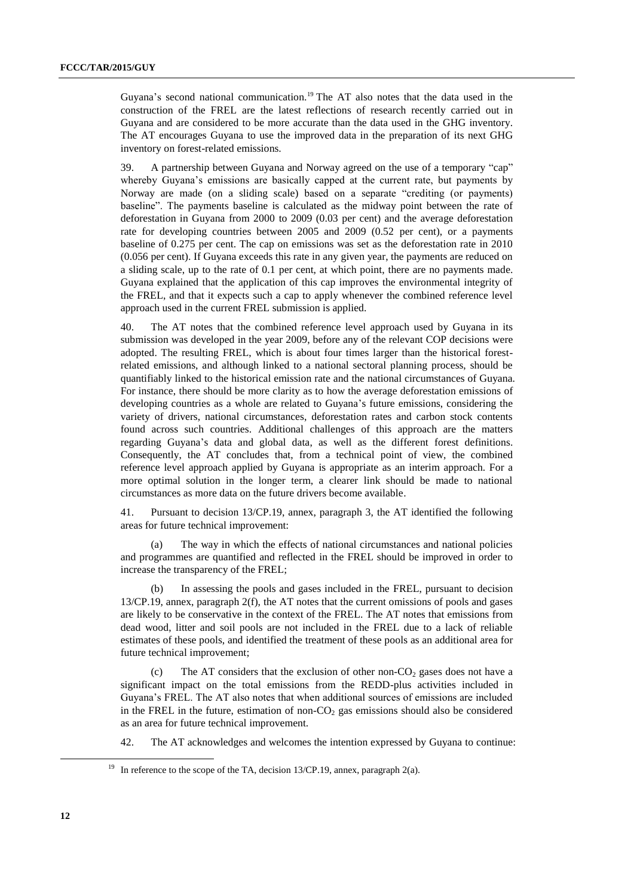Guyana's second national communication.<sup>19</sup> The AT also notes that the data used in the construction of the FREL are the latest reflections of research recently carried out in Guyana and are considered to be more accurate than the data used in the GHG inventory. The AT encourages Guyana to use the improved data in the preparation of its next GHG inventory on forest-related emissions.

39. A partnership between Guyana and Norway agreed on the use of a temporary "cap" whereby Guyana's emissions are basically capped at the current rate, but payments by Norway are made (on a sliding scale) based on a separate "crediting (or payments) baseline". The payments baseline is calculated as the midway point between the rate of deforestation in Guyana from 2000 to 2009 (0.03 per cent) and the average deforestation rate for developing countries between 2005 and 2009 (0.52 per cent), or a payments baseline of 0.275 per cent. The cap on emissions was set as the deforestation rate in 2010 (0.056 per cent). If Guyana exceeds this rate in any given year, the payments are reduced on a sliding scale, up to the rate of 0.1 per cent, at which point, there are no payments made. Guyana explained that the application of this cap improves the environmental integrity of the FREL, and that it expects such a cap to apply whenever the combined reference level approach used in the current FREL submission is applied.

40. The AT notes that the combined reference level approach used by Guyana in its submission was developed in the year 2009, before any of the relevant COP decisions were adopted. The resulting FREL, which is about four times larger than the historical forestrelated emissions, and although linked to a national sectoral planning process, should be quantifiably linked to the historical emission rate and the national circumstances of Guyana. For instance, there should be more clarity as to how the average deforestation emissions of developing countries as a whole are related to Guyana's future emissions, considering the variety of drivers, national circumstances, deforestation rates and carbon stock contents found across such countries. Additional challenges of this approach are the matters regarding Guyana's data and global data, as well as the different forest definitions. Consequently, the AT concludes that, from a technical point of view, the combined reference level approach applied by Guyana is appropriate as an interim approach. For a more optimal solution in the longer term, a clearer link should be made to national circumstances as more data on the future drivers become available.

41. Pursuant to decision 13/CP.19, annex, paragraph 3, the AT identified the following areas for future technical improvement:

(a) The way in which the effects of national circumstances and national policies and programmes are quantified and reflected in the FREL should be improved in order to increase the transparency of the FREL;

(b) In assessing the pools and gases included in the FREL, pursuant to decision 13/CP.19, annex, paragraph 2(f), the AT notes that the current omissions of pools and gases are likely to be conservative in the context of the FREL. The AT notes that emissions from dead wood, litter and soil pools are not included in the FREL due to a lack of reliable estimates of these pools, and identified the treatment of these pools as an additional area for future technical improvement;

(c) The AT considers that the exclusion of other non- $CO<sub>2</sub>$  gases does not have a significant impact on the total emissions from the REDD-plus activities included in Guyana's FREL. The AT also notes that when additional sources of emissions are included in the FREL in the future, estimation of non- $CO<sub>2</sub>$  gas emissions should also be considered as an area for future technical improvement.

42. The AT acknowledges and welcomes the intention expressed by Guyana to continue:

<sup>&</sup>lt;sup>19</sup> In reference to the scope of the TA, decision 13/CP.19, annex, paragraph 2(a).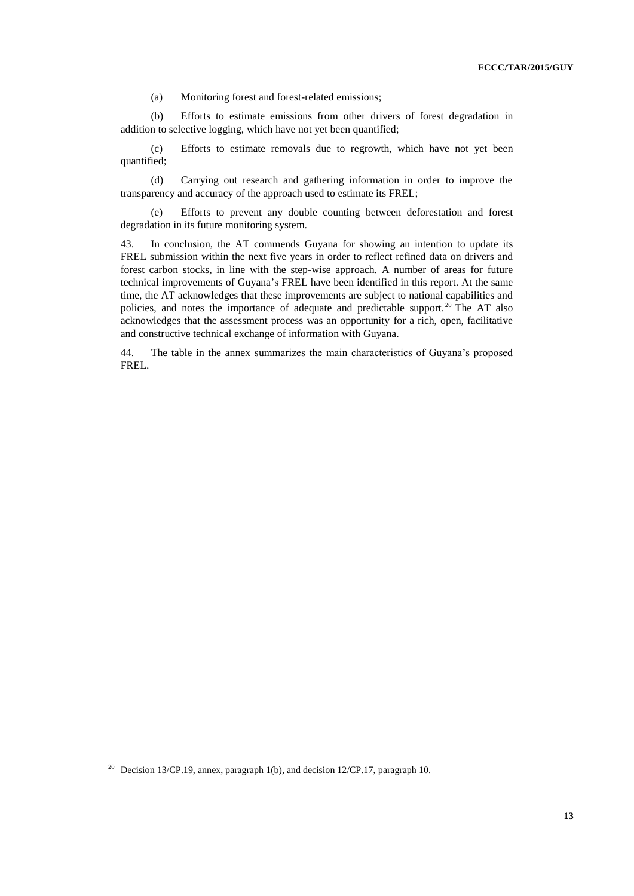(a) Monitoring forest and forest-related emissions;

(b) Efforts to estimate emissions from other drivers of forest degradation in addition to selective logging, which have not yet been quantified;

(c) Efforts to estimate removals due to regrowth, which have not yet been quantified;

(d) Carrying out research and gathering information in order to improve the transparency and accuracy of the approach used to estimate its FREL;

(e) Efforts to prevent any double counting between deforestation and forest degradation in its future monitoring system.

43. In conclusion, the AT commends Guyana for showing an intention to update its FREL submission within the next five years in order to reflect refined data on drivers and forest carbon stocks, in line with the step-wise approach. A number of areas for future technical improvements of Guyana's FREL have been identified in this report. At the same time, the AT acknowledges that these improvements are subject to national capabilities and policies, and notes the importance of adequate and predictable support.<sup>20</sup> The AT also acknowledges that the assessment process was an opportunity for a rich, open, facilitative and constructive technical exchange of information with Guyana.

44. The table in the annex summarizes the main characteristics of Guyana's proposed FREL.

<sup>&</sup>lt;sup>20</sup> Decision 13/CP.19, annex, paragraph 1(b), and decision 12/CP.17, paragraph 10.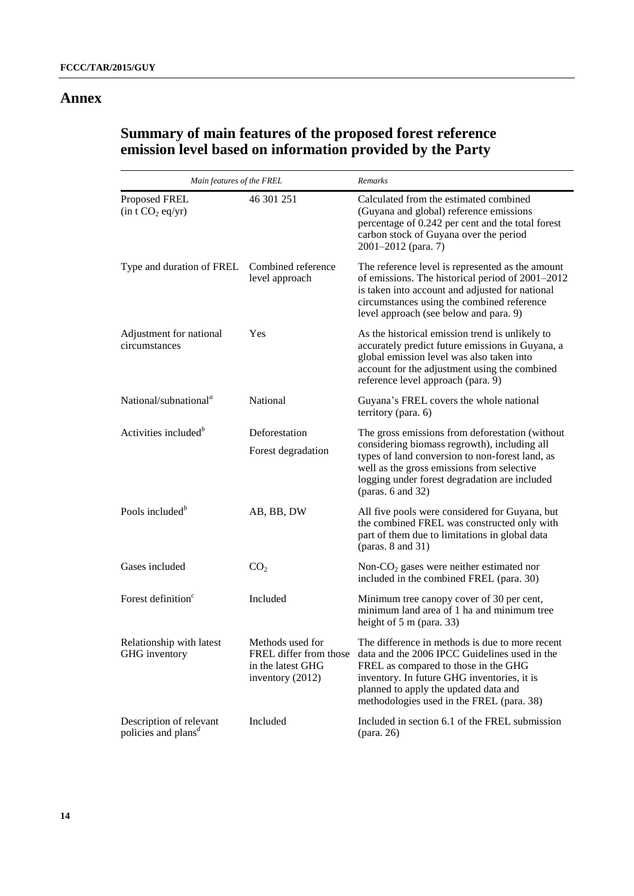## **Annex**

## **Summary of main features of the proposed forest reference emission level based on information provided by the Party**

| Main features of the FREL                                               |                                                                                     | Remarks                                                                                                                                                                                                                                                                       |  |
|-------------------------------------------------------------------------|-------------------------------------------------------------------------------------|-------------------------------------------------------------------------------------------------------------------------------------------------------------------------------------------------------------------------------------------------------------------------------|--|
| Proposed FREL<br>(in t CO <sub>2</sub> eq/yr)                           | 46 301 251                                                                          | Calculated from the estimated combined<br>(Guyana and global) reference emissions<br>percentage of 0.242 per cent and the total forest<br>carbon stock of Guyana over the period<br>2001-2012 (para. 7)                                                                       |  |
| Type and duration of FREL Combined reference                            | level approach                                                                      | The reference level is represented as the amount<br>of emissions. The historical period of 2001–2012<br>is taken into account and adjusted for national<br>circumstances using the combined reference<br>level approach (see below and para. 9)                               |  |
| Adjustment for national<br>circumstances                                | Yes                                                                                 | As the historical emission trend is unlikely to<br>accurately predict future emissions in Guyana, a<br>global emission level was also taken into<br>account for the adjustment using the combined<br>reference level approach (para. 9)                                       |  |
| National/subnational <sup><math>a</math></sup>                          | National                                                                            | Guyana's FREL covers the whole national<br>territory (para. 6)                                                                                                                                                                                                                |  |
| Activities included <sup>b</sup>                                        | Deforestation<br>Forest degradation                                                 | The gross emissions from deforestation (without<br>considering biomass regrowth), including all<br>types of land conversion to non-forest land, as<br>well as the gross emissions from selective<br>logging under forest degradation are included<br>(paras. $6$ and $32$ )   |  |
| Pools included <sup>b</sup>                                             | AB, BB, DW                                                                          | All five pools were considered for Guyana, but<br>the combined FREL was constructed only with<br>part of them due to limitations in global data<br>(paras. $8$ and $31$ )                                                                                                     |  |
| Gases included                                                          | CO <sub>2</sub>                                                                     | Non- $CO2$ gases were neither estimated nor<br>included in the combined FREL (para. 30)                                                                                                                                                                                       |  |
| Forest definition $c$                                                   | Included                                                                            | Minimum tree canopy cover of 30 per cent,<br>minimum land area of 1 ha and minimum tree<br>height of 5 m (para. 33)                                                                                                                                                           |  |
| Relationship with latest<br>GHG inventory                               | Methods used for<br>FREL differ from those<br>in the latest GHG<br>inventory (2012) | The difference in methods is due to more recent<br>data and the 2006 IPCC Guidelines used in the<br>FREL as compared to those in the GHG<br>inventory. In future GHG inventories, it is<br>planned to apply the updated data and<br>methodologies used in the FREL (para. 38) |  |
| Description of relevant<br>policies and plans <sup><math>d</math></sup> | Included                                                                            | Included in section 6.1 of the FREL submission                                                                                                                                                                                                                                |  |